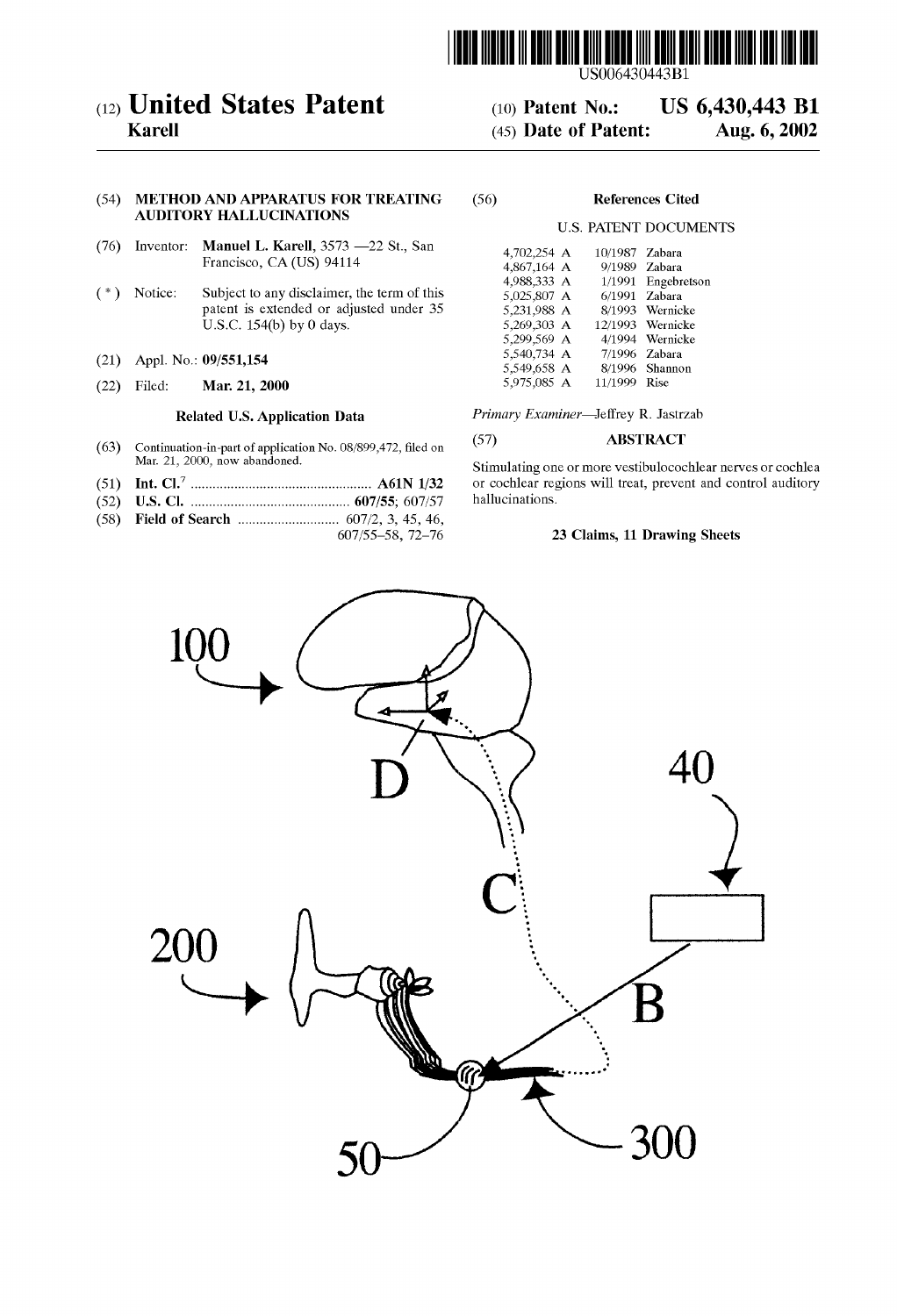

## (12) **United States Patent** (10) Patent No.: US 6,430,443 B1<br>Karell (45) Date of Patent: Aug. 6, 2002

## (54) METHOD AND APPARATUS FOR TREATING (56) References Cited AUDITORY HALLUCINATIONS

- (76) Inventor: Manuel L. Karell,  $3573 22$  St., San Francisco, CA (US) 94114
- $(*)$  Notice: Subject to any disclaimer, the term of this patent is extended or adjusted under 35 U.S.C.  $154(b)$  by 0 days.
- (21) Appl. No.: 09/551,154
- (22) Filed: **Mar. 21, 2000** 5,975,085 A 11/1999 Rise

- (63) Continuation-in-part of application No. 08/899,472, filed on  $\frac{(57)}{\text{Mar. 21, 2000, now abandoned.}}$  Stimulating one or more vertibule on
- (51) Int. Cl." .................................................. A61N 1/32 or cochlear regions will treat, prevent and control auditory
- (52) U.S. Cl. ............................................ 607/55; 607/57 hallucinations.
- (58) Field of Search ............................ 607/2, 3, 45, 46,
- 

 $(45)$  Date of Patent:

## U.S. PATENT DOCUMENTS

| 4,702,254 A | 10/1987 Zabara |                  |
|-------------|----------------|------------------|
| 4,867,164 A |                | 9/1989 Zabara    |
| 4,988,333 A | 1/1991         | Engebretson      |
| 5,025,807 A | 6/1991         | Zabara           |
| 5,231,988 A | 8/1993         | Wernicke         |
| 5,269,303 A |                | 12/1993 Wernicke |
| 5,299,569 A |                | 4/1994 Wernicke  |
| 5,540,734 A | 7/1996         | Zabara           |
| 5,549,658 A |                | 8/1996 Shannon   |
| 5.975.085 A | 11/1000        | Rise             |

Related U.S. Application Data *Primary Examiner*—Jeffrey R. Jastrzab

Stimulating one or more vestibulocochlear nerves or cochlear or cochlear regions will treat, prevent and control auditory

### 23 Claims, 11 Drawing Sheets

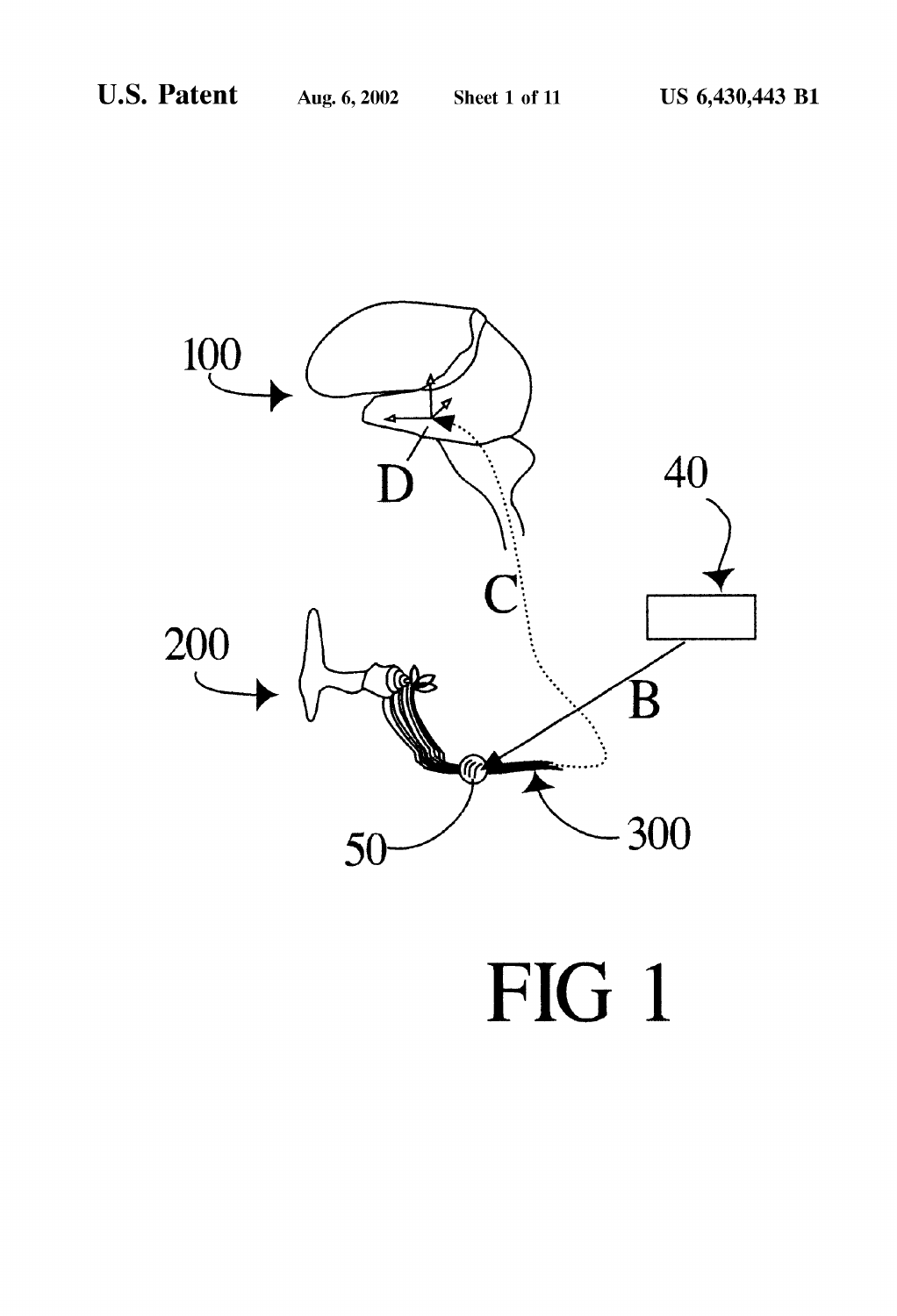

FIG 1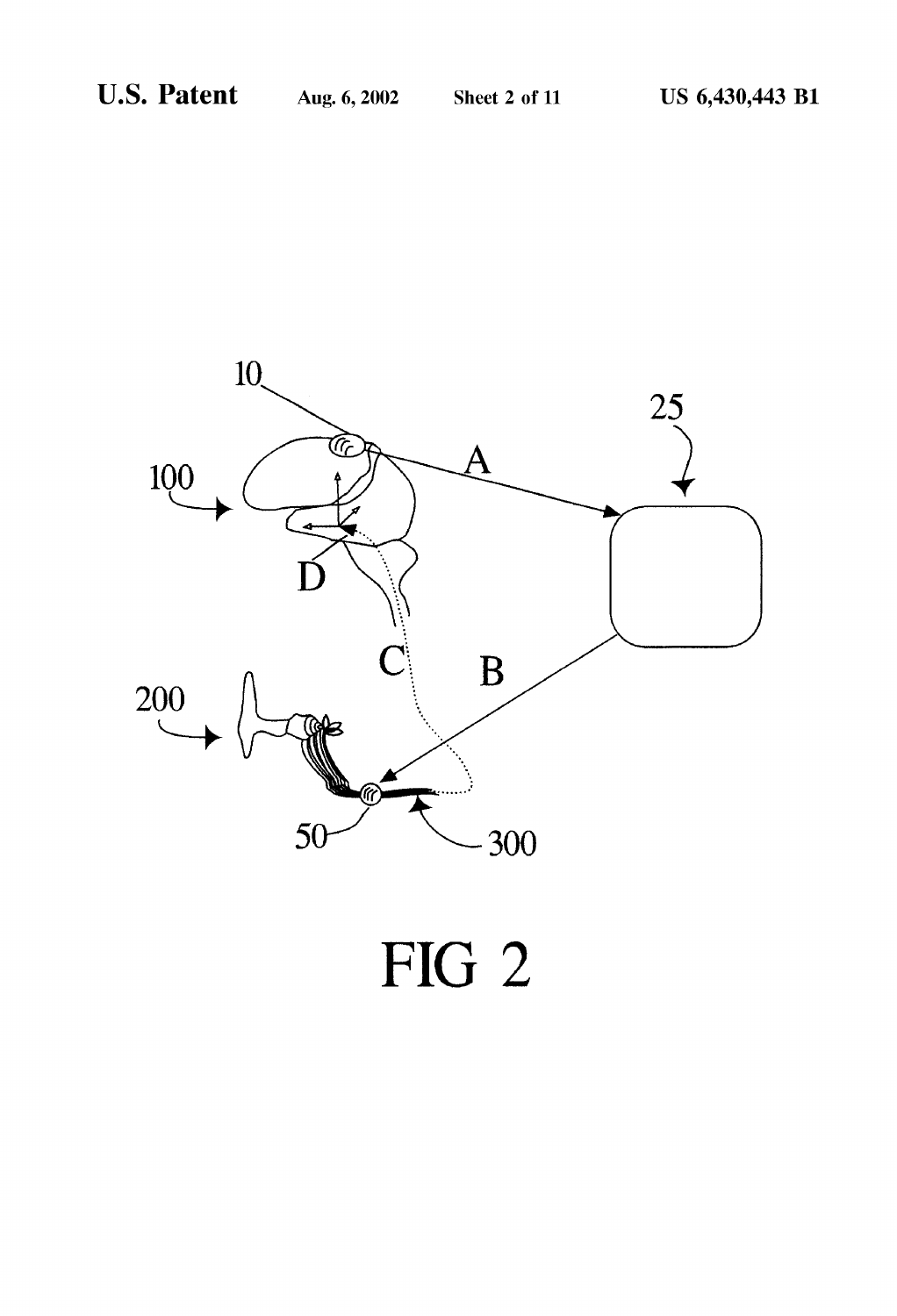

# FIG 2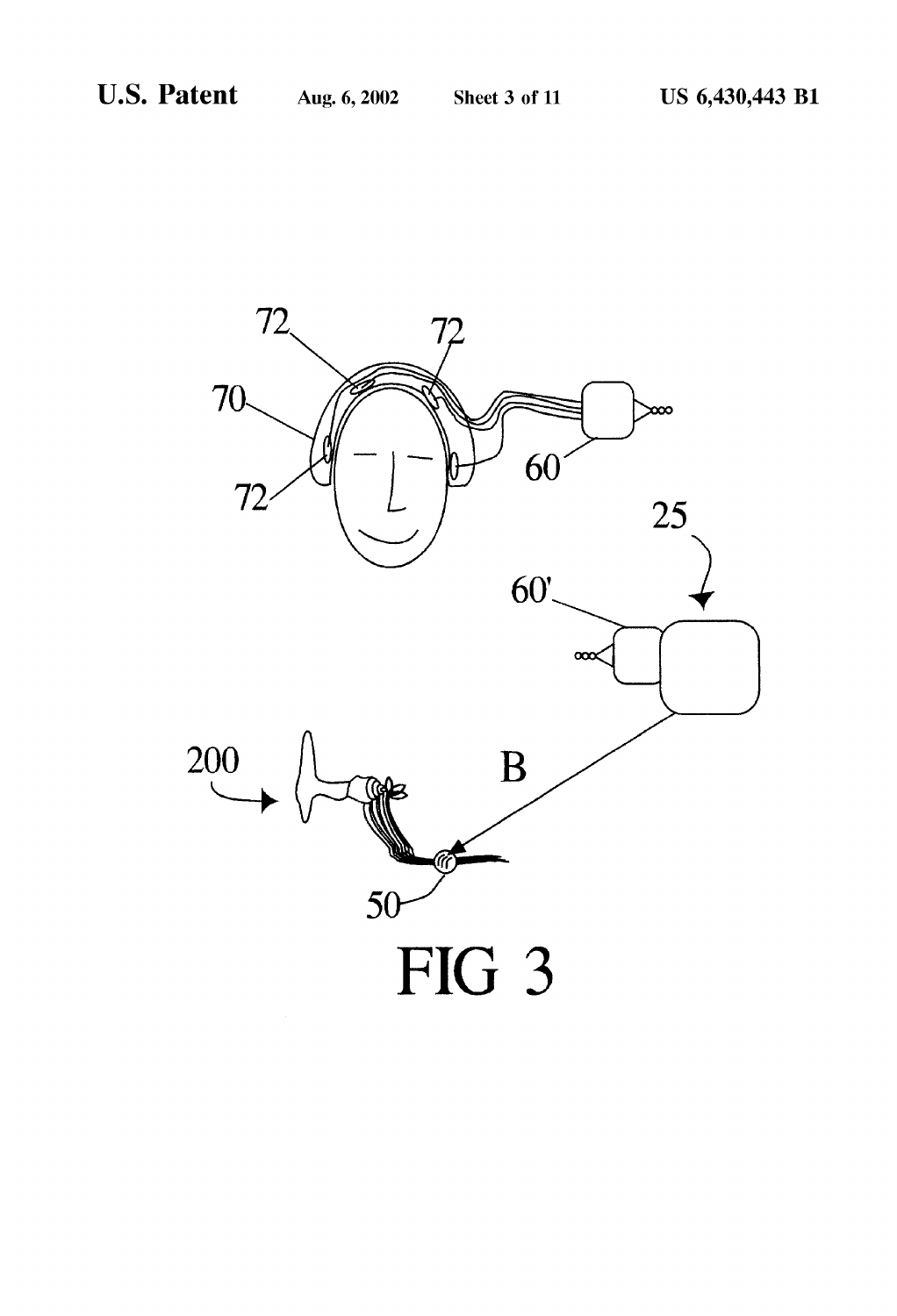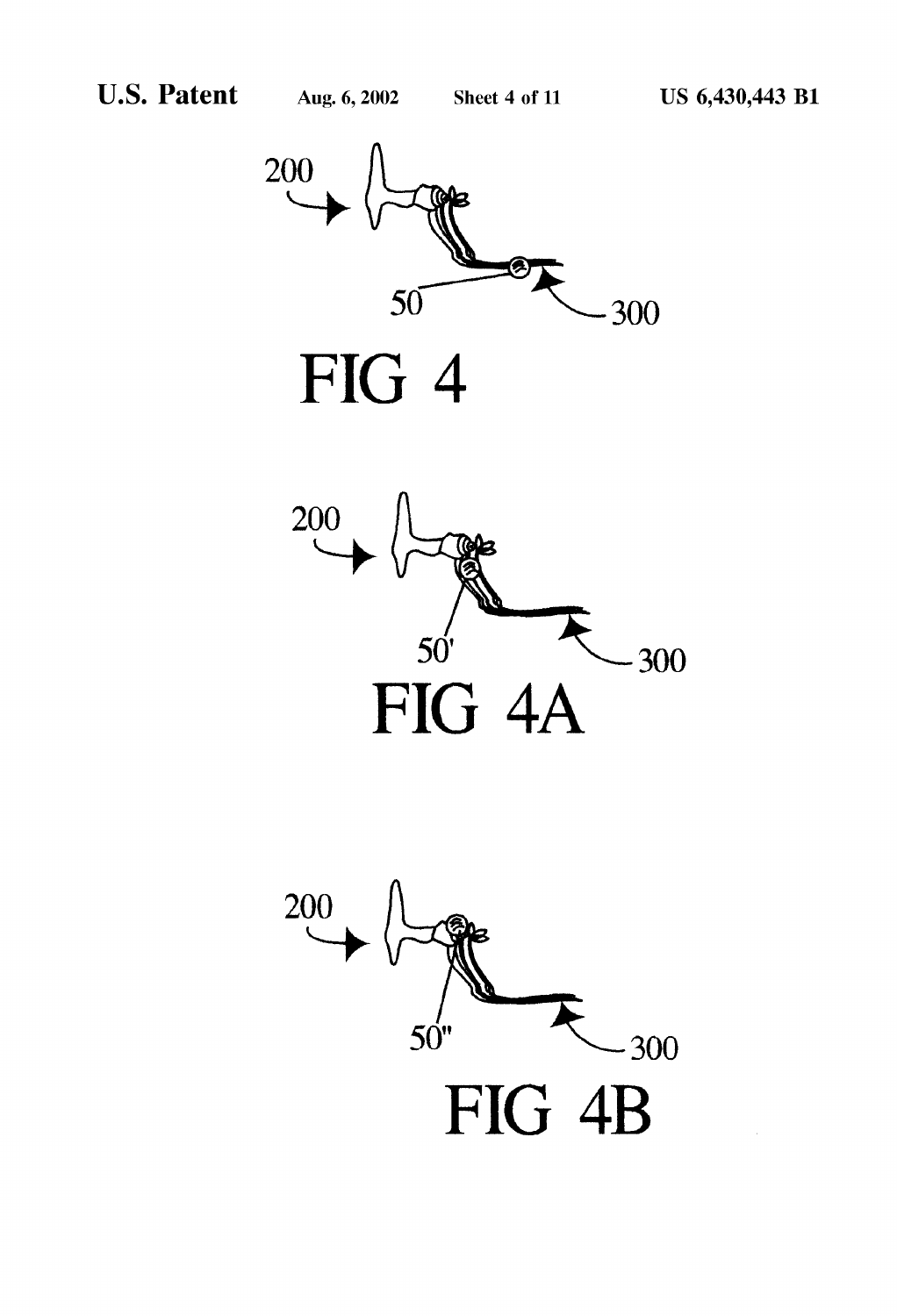



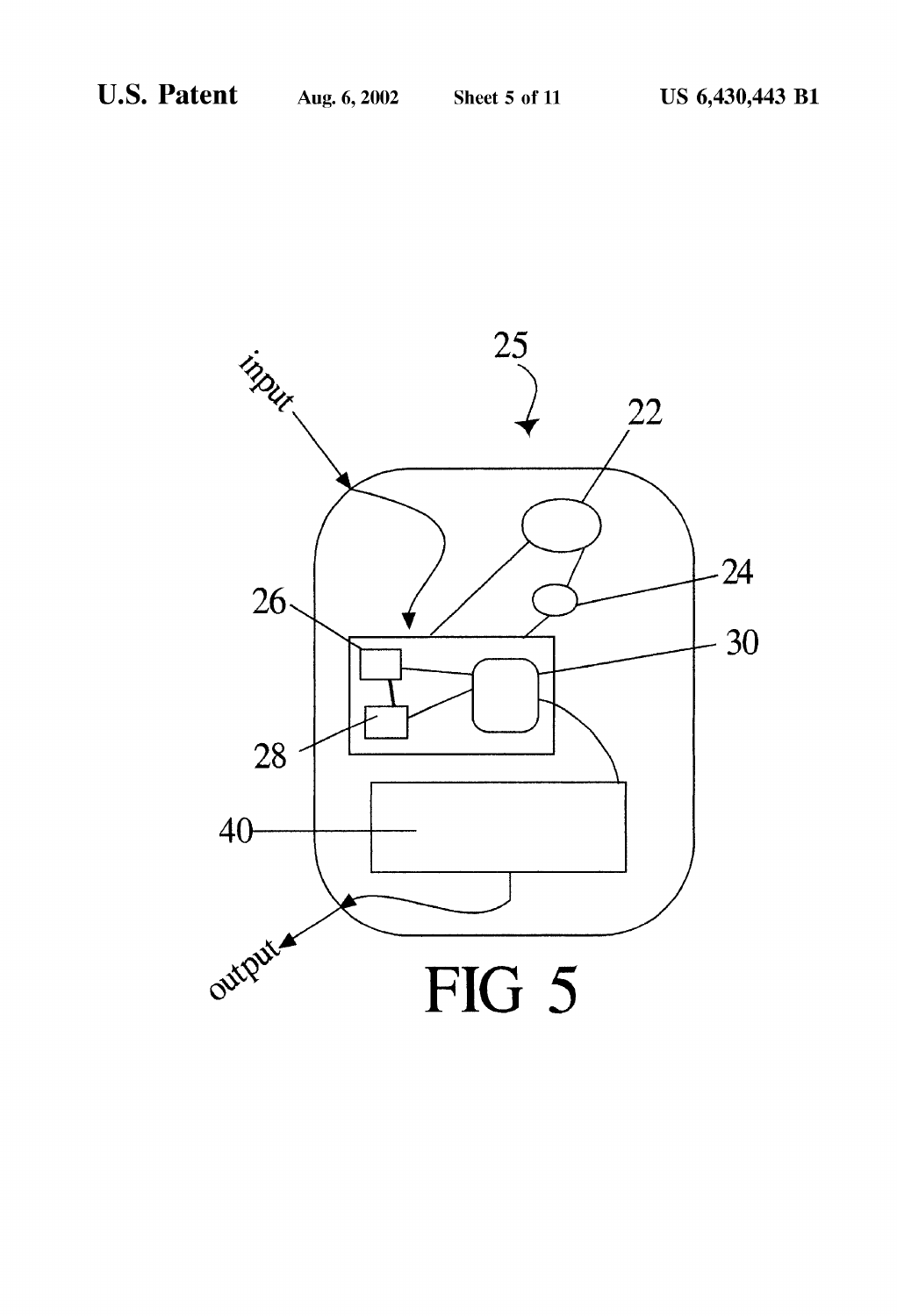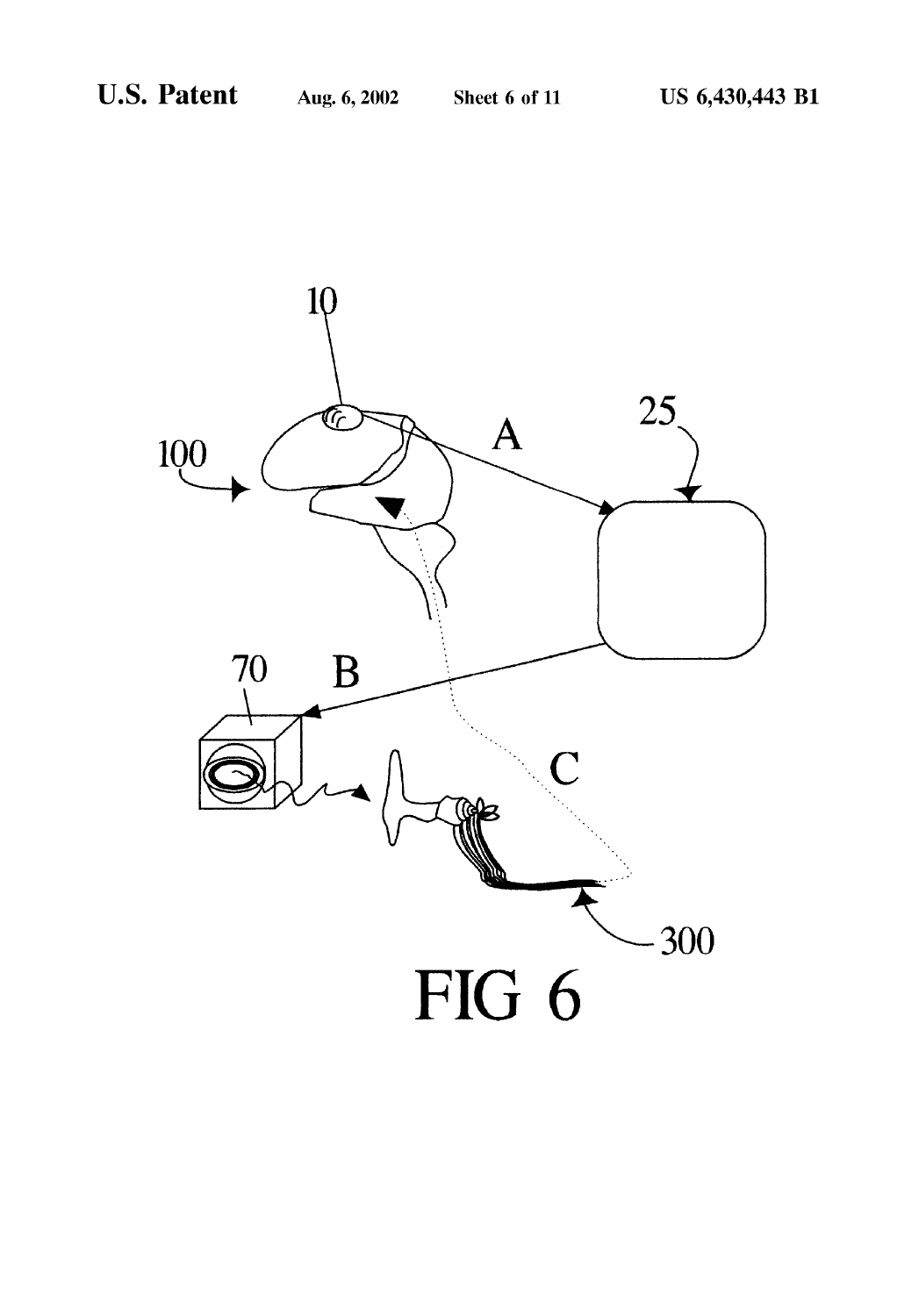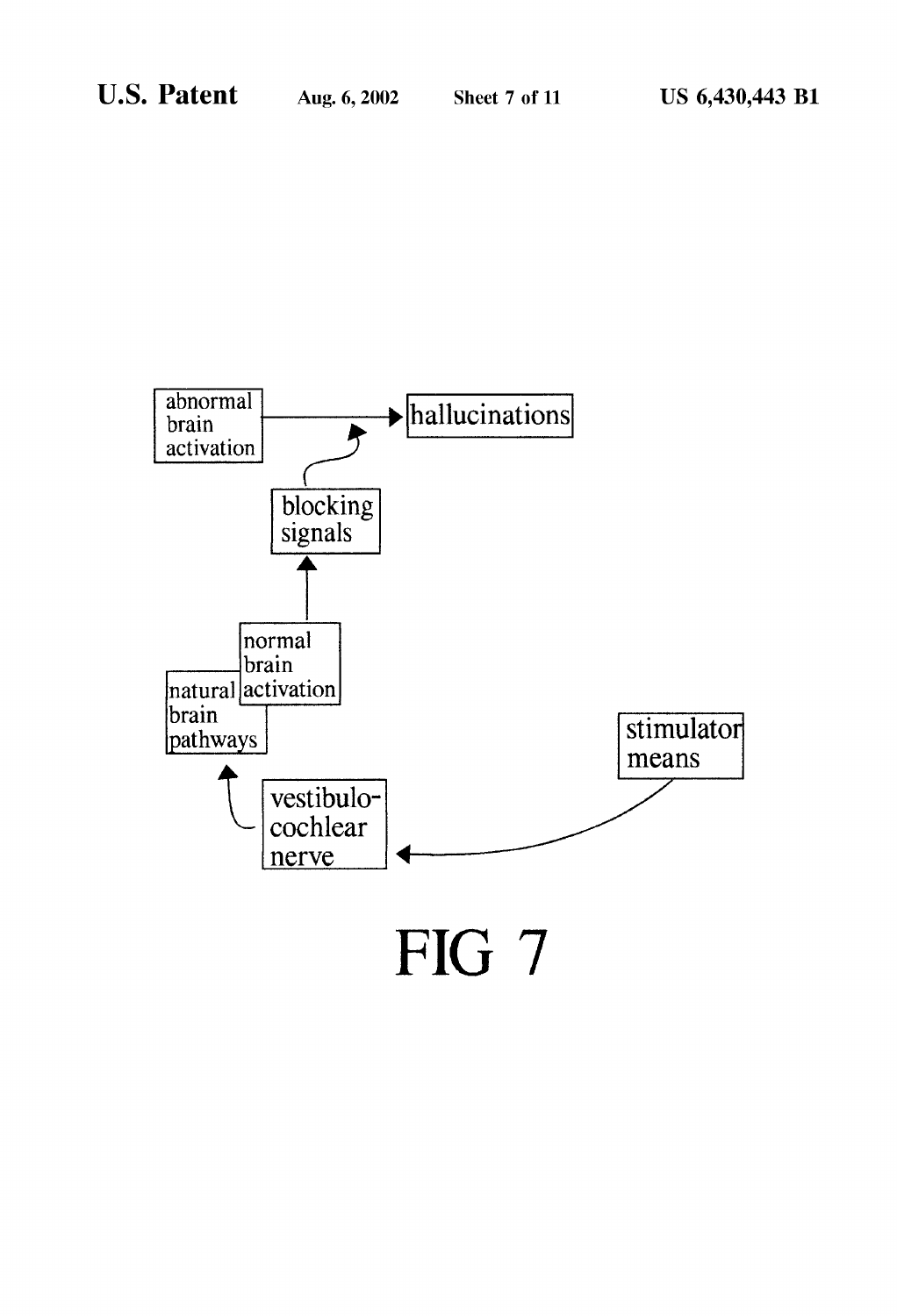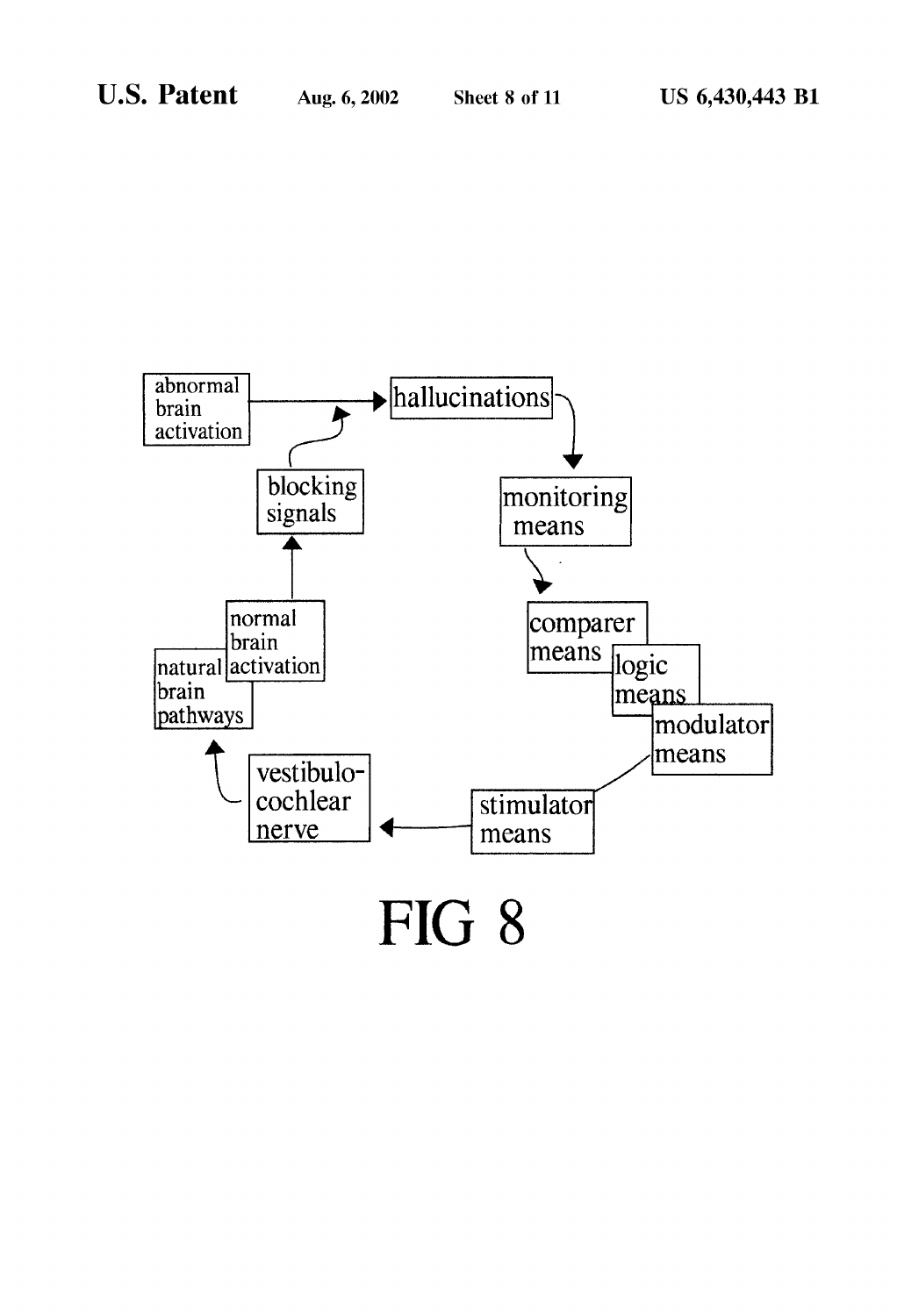

FIG 8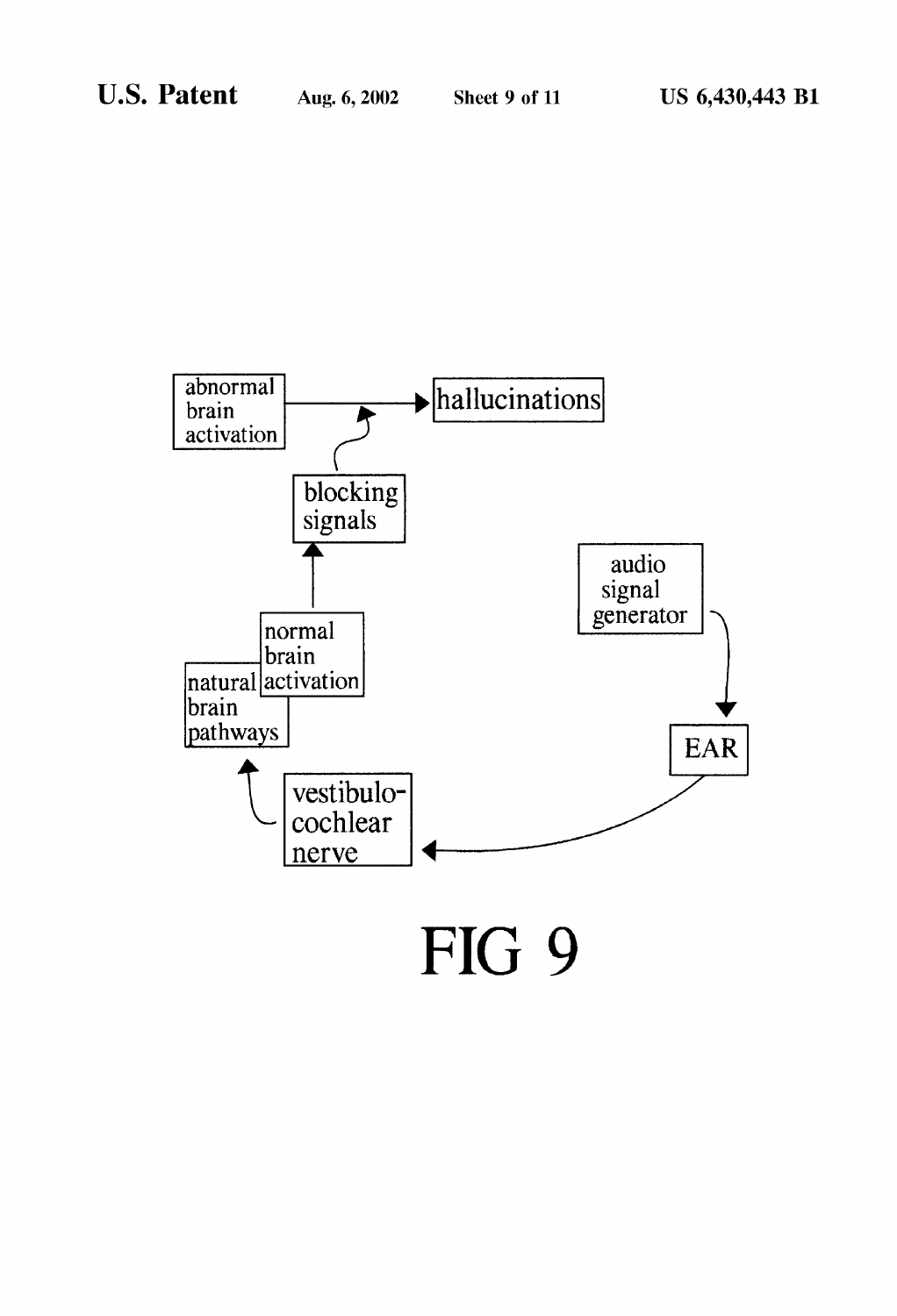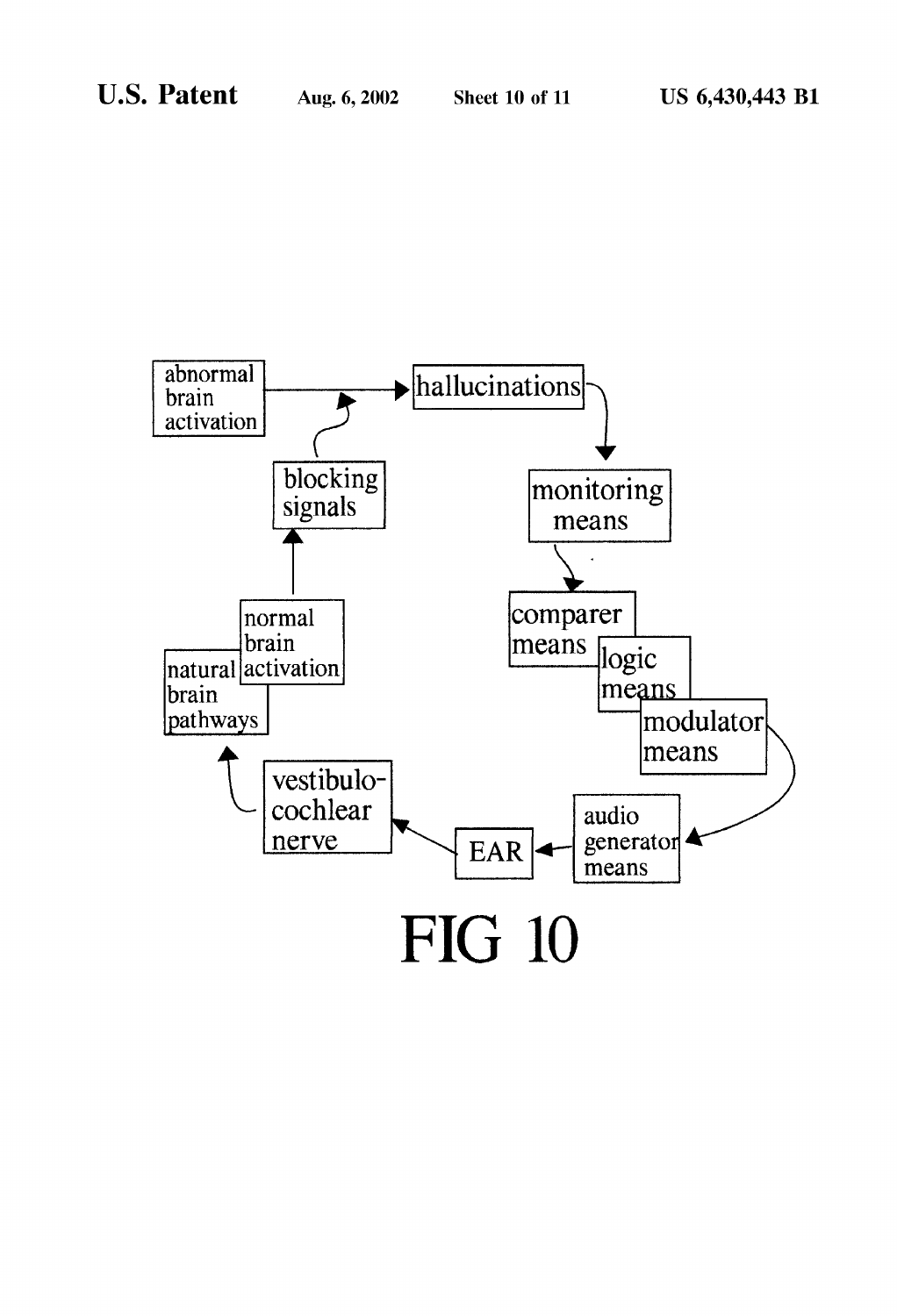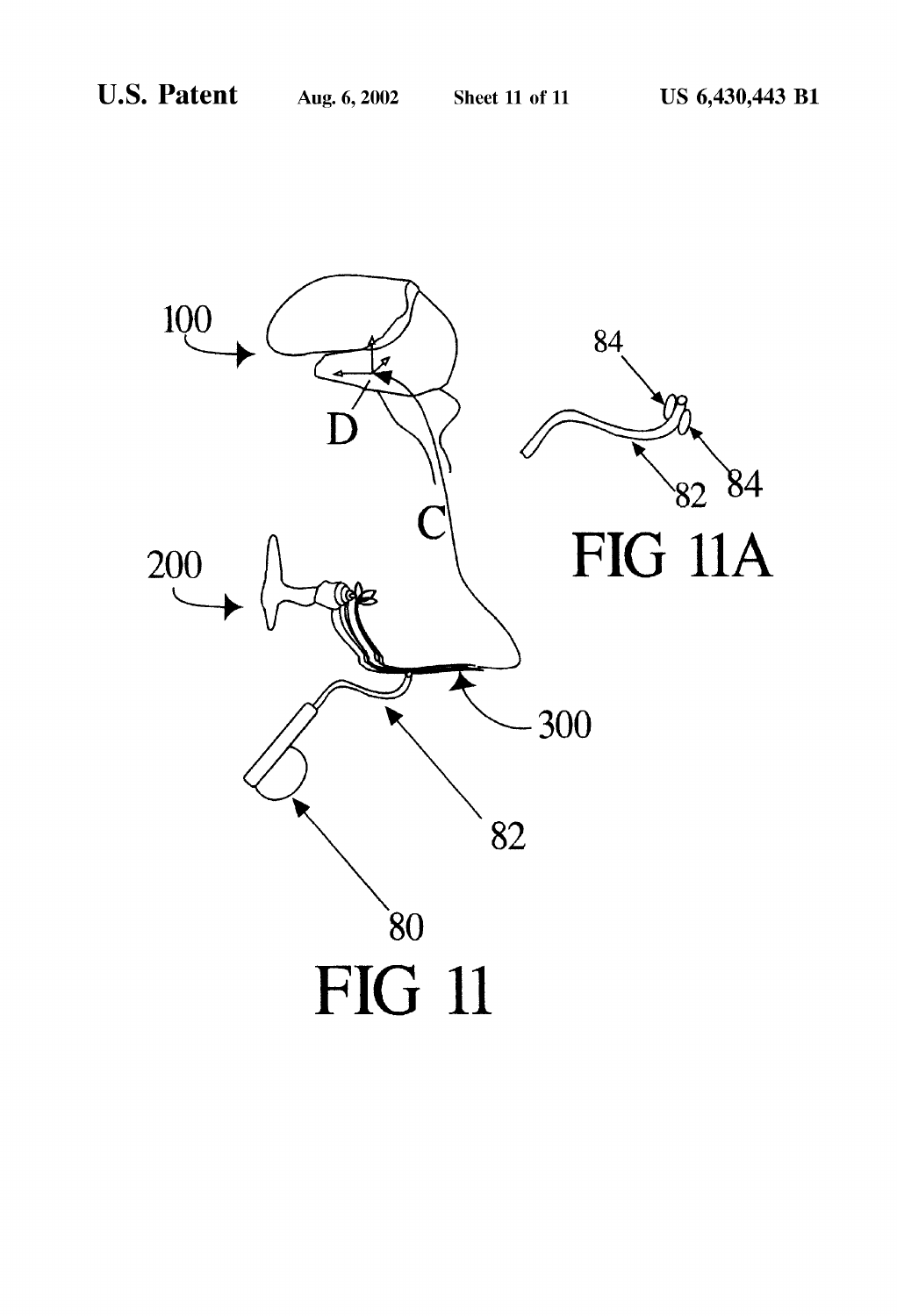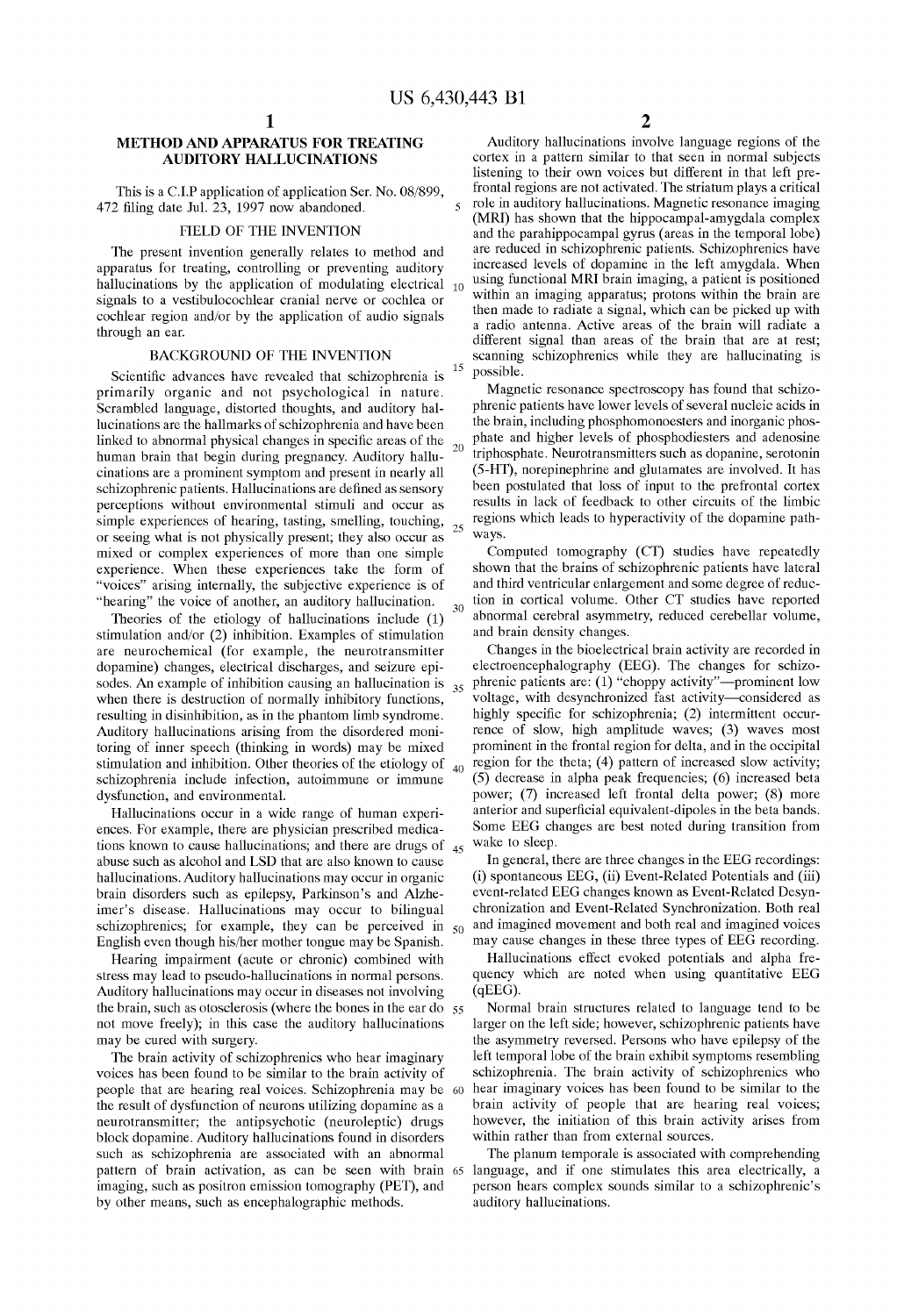$\epsilon$ 

15

25

 $20<sup>o</sup>$ 

 $25$ 

 $30<sup>2</sup>$ 

 $40<sup>1</sup>$ 

## METHOD AND APPARATUS FOR TREATING AUDITORY HALLUCINATIONS

This is a C.I.P application of application Ser. No. 08/899, 472 filing date Jul. 23, 1997 now abandoned.

### FIELD OF THE INVENTION

The present invention generally relates to method and apparatus for treating, controlling or preventing auditory hallucinations by the application of modulating electrical  $_{10}$ signals to a vestibulocochlear cranial nerve or cochlea or cochlear region and/or by the application of audio signals through an ear.

### BACKGROUND OF THE INVENTION

Scientific advances have revealed that schizophrenia is primarily organic and not psychological in nature. Scrambled language, distorted thoughts, and auditory hal lucinations are the hallmarks of Schizophrenia and have been linked to abnormal physical changes in specific areas of the human brain that begin during pregnancy. Auditory hallu cinations are a prominent Symptom and present in nearly all schizophrenic patients. Hallucinations are defined as sensory perceptions without environmental Stimuli and occur as simple experiences of hearing, tasting, smelling, touching, or Seeing what is not physically present; they also occur as mixed or complex experiences of more than one simple experience. When these experiences take the form of "voices" arising internally, the subjective experience is of "hearing" the voice of another, an auditory hallucination.

Theories of the etiology of hallucinations include (1) stimulation and/or (2) inhibition. Examples of stimulation are neurochemical (for example, the neurotransmitter dopamine) changes, electrical discharges, and seizure epi sodes. An example of inhibition causing an hallucination is when there is destruction of normally inhibitory functions, resulting in disinhibition, as in the phantom limb Syndrome. Auditory hallucinations arising from the disordered moni toring of inner speech (thinking in words) may be mixed stimulation and inhibition. Other theories of the etiology of schizophrenia include infection, autoimmune or immune dysfunction, and environmental.

Hallucinations occur in a wide range of human experi ences. For example, there are physician prescribed medica tions known to cause naturely halo is, and there are drugs of  $_{45}$ abuse such as alcohol and LSD that are also known to cause hallucinations. Auditory hallucinations may occur in organic brain disorders such as epilepsy, Parkinson's and Alzhe-imer's disease. Hallucinations may occur to bilingual imer's disease. Hallucinations may occur to bilingual schizophrenics; for example, they can be perceived in <sub>50</sub> English even though his/her mother tongue may be Spanish.

Hearing impairment (acute or chronic) combined with stress may lead to pseudo-hallucinations in normal persons. Auditory hallucinations may occur in diseases not involving the brain, Such as otosclerosis (where the bones in the ear do 55 not move freely); in this case the auditory hallucinations may be cured with Surgery.

The brain activity of schizophrenics who hear imaginary voices has been found to be similar to the brain activity of people that are hearing real Voices. Schizophrenia may be the result of dysfunction of neurons utilizing dopamine as a neurotransmitter; the antipsychotic (neuroleptic) drugs block dopamine. Auditory hallucinations found in disorders such as schizophrenia are associated with an abnormal imaging, Such as positron emission tomography (PET), and by other means, Such as encephalographic methods. 60  $\mathfrak{D}$ 

Auditory hallucinations involve language regions of the cortex in a pattern similar to that seen in normal subjects listening to their own voices but different in that left pre-<br>frontal regions are not activated. The striatum plays a critical<br>role in auditory hallucinations. Magnetic resonance imaging (MRI) has shown that the hippocampal-amygdala complex and the parahippocampal gyrus (areas in the temporal lobe) are reduced in Schizophrenic patients. Schizophrenics have increased levels of dopamine in the left amygdala. When using functional MRI brain imaging, a patient is positioned within an imaging apparatus; protons within the brain are then made to radiate a signal, which can be picked up with a radio antenna. Active areas of the brain will radiate a different signal than areas of the brain that are at rest; scanning schizophrenics while they are hallucinating is possible.

Magnetic resonance spectroscopy has found that schizophrenic patients have lower levels of several nucleic acids in the brain, including phosphomonoesters and inorganic phos phate and higher levels of phosphodiesters and adenosine triphosphate. Neurotransmitters such as dopanine, serotonin (5-HT), norepinephrine and glutamates are involved. It has been postulated that loss of input to the prefrontal cortex results in lack of feedback to other circuits of the limbic regions which leads to hyperactivity of the dopamine path ways.

Computed tomography (CT) Studies have repeatedly shown that the brains of Schizophrenic patients have lateral and third Ventricular enlargement and Some degree of reduc tion in cortical volume. Other CT studies have reported abnormal cerebral asymmetry, reduced cerebellar volume, and brain density changes.

Changes in the bioelectrical brain activity are recorded in electroencephalography (EEG). The changes for schizophrenic patients are:  $(1)$  "choppy activity"-prominent low voltage, with desynchronized fast activity-considered as highly specific for schizophrenia; (2) intermittent occurrence of slow, high amplitude waves; (3) waves most prominent in the frontal region for delta, and in the occipital region for the theta; (4) pattern of increased slow activity; (5) decrease in alpha peak frequencies; (6) increased beta power; (7) increased left frontal delta power; (8) more anterior and Superficial equivalent-dipoles in the beta bands. Some EEG changes are best noted during transition from wake to sleep.

In general, there are three changes in the EEG recordings: (i) spontaneous EEG, (ii) Event-Related Potentials and (iii) chronization and Event-Related Synchronization. Both real and imagined movement and both real and imagined Voices may cause changes in these three types of EEG recording.

Hallucinations effect evoked potentials and alpha fre quency which are noted when using quantitative EEG (qEEG).

Normal brain structures related to language tend to be larger on the left side; however, schizophrenic patients have the asymmetry reversed. Persons who have epilepsy of the left temporal lobe of the brain exhibit symptoms resembling schizophrenia. The brain activity of schizophrenics who hear imaginary voices has been found to be similar to the brain activity of people that are hearing real Voices, however, the initiation of this brain activity arises from within rather than from external sources.

pattern of brain activation, as can be seen with brain 65 language, and if one Stimulates this area electrically, a The planum temporale is associated with comprehending person hears complex sounds similar to a schizophrenic's auditory hallucinations.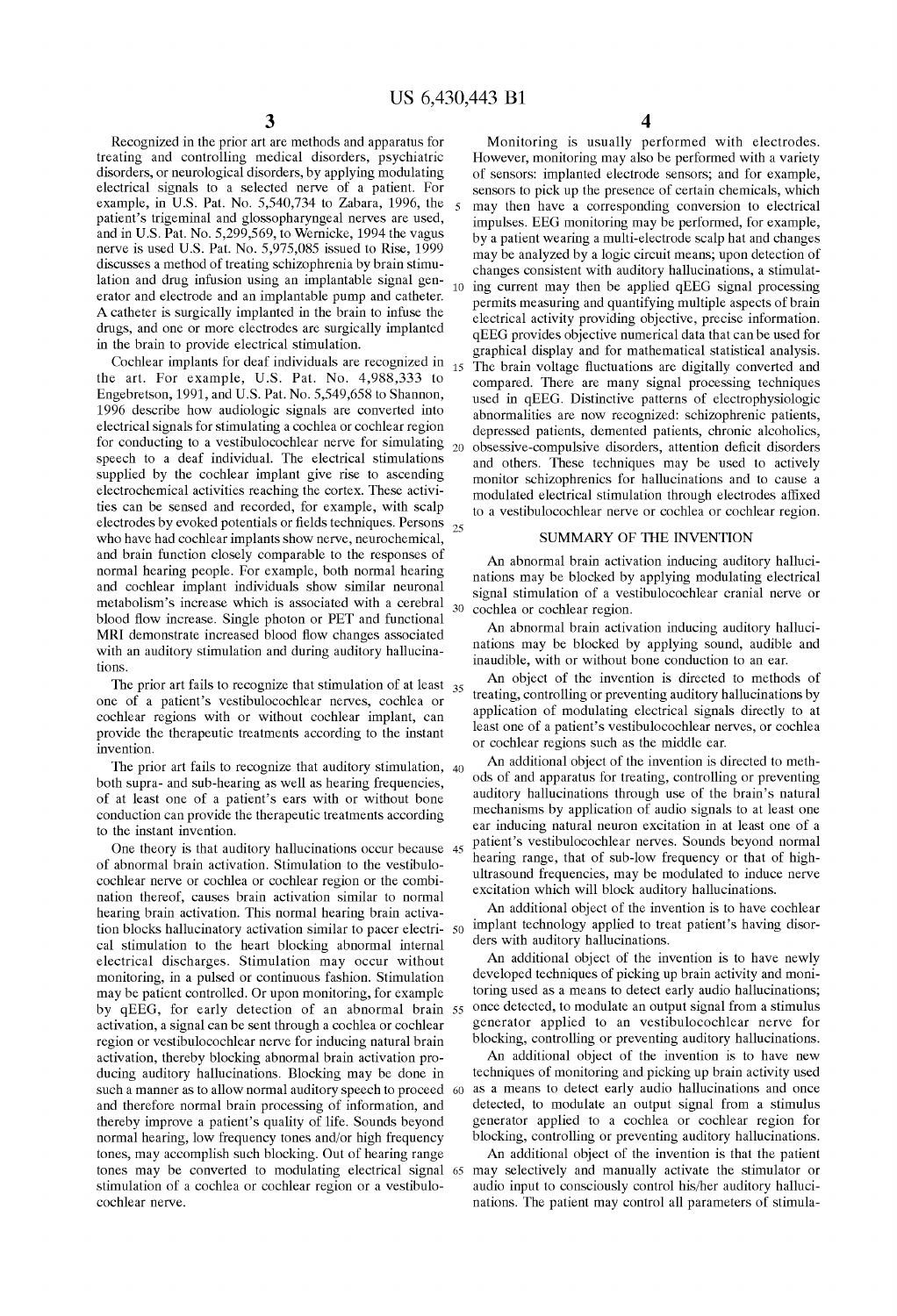30

Recognized in the prior art are methods and apparatus for treating and controlling medical disorders, psychiatric disorders, or neurological disorders, by applying modulating electrical signals to a selected nerve of a patient. For example, in U.S. Pat. No. 5,540,734 to Zabara, 1996, the patient's trigeminal and glossopharyngeal nerves are used, and in U.S. Pat. No. 5,299,569, to Wernicke, 1994 the vagus nerve is used U.S. Pat. No. 5,975,085 issued to Rise, 1999 discusses a method of treating schizophrenia by brain stimulation and drug infusion using an implantable signal gen-<br>
10 ing current may then be applied qEEG signal processing erator and electrode and an implantable pump and catheter. A catheter is Surgically implanted in the brain to infuse the drugs, and one or more electrodes are Surgically implanted in the brain to provide electrical Stimulation.

Cochlear implants for deaf individuals are recognized in the art. For example, U.S. Pat. No. 4,988,333 to Engebretson, 1991, and U.S. Pat. No. 5,549,658 to Shannon, 1996 describe how audiologic signals are converted into electrical signals for stimulating a cochlea or cochlear region for conducting to a vestibulocochlear nerve for simulating  $_{20}$ speech to a deaf individual. The electrical stimulations supplied by the cochlear implant give rise to ascending electrochemical activities reaching the cortex. These activities can be sensed and recorded, for example, with scalp electrodes by evoked potentials or fields techniques. Persons who have had cochlear implants show nerve, neurochemical, and brain function closely comparable to the responses of normal hearing people. For example, both normal hearing and cochlear implant individuals show Similar neuronal metabolism's increase which is associated with a cerebral blood flow increase. Single photon or PET and functional MRI demonstrate increased blood flow changes associated with an auditory stimulation and during auditory hallucinations. 25

The prior art fails to recognize that sumulation of at least  $35<sub>35</sub>$ one of a patient's vestibulocochlear nerves, cochlea or cochlear regions with or without cochlear implant, can provide the therapeutic treatments according to the instant invention.

The prior art fails to recognize that auditory Stimulation, 40 both supra- and sub-hearing as well as hearing frequencies, of at least one of a patient's ears with or without bone conduction can provide the therapeutic treatments according to the instant invention.

One theory is that auditory hallucinations occur because 45 of abnormal brain activation. Stimulation to the vestibulo cochlear nerve or cochlea or cochlear region or the combi nation thereof, causes brain activation Similar to normal hearing brain activation. This normal hearing brain activa tion blocks hallucinatory activation similar to pacer electri- 50 cal stimulation to the heart blocking abnormal internal electrical discharges. Stimulation may occur without monitoring, in a pulsed or continuous fashion. Stimulation may be patient controlled. Or upon monitoring, for example by qBEG, for early detection of an abnormal brain activation, a signal can be sent through a cochlea or cochlear region or vestibulocochlear nerve for inducing natural brain activation, thereby blocking abnormal brain activation producing auditory hallucinations. Blocking may be done in such a manner as to allow normal auditory speech to proceed and therefore normal brain processing of information, and thereby improve a patient's quality of life. Sounds beyond normal hearing, low frequency tones and/or high frequency tones, may accomplish Such blocking. Out of hearing range tones may be converted to modulating electrical Signal 65 may selectively and manually activate the Stimulator or stimulation of a cochlea or cochlear region or a vestibulocochlear nerve. 55 60

4

Monitoring is usually performed with electrodes. However, monitoring may also be performed with a variety of Sensors: implanted electrode Sensors, and for example, sensors to pick up the presence of certain chemicals, which may then have a corresponding conversion to electrical impulses. EEG monitoring may be performed, for example, by a patient wearing a multi-electrode Scalp hat and changes may be analyzed by a logic circuit means, upon detection of changes consistent with auditory hallucinations, a Stimulat permits measuring and quantifying multiple aspects of brain electrical activity providing objective, precise information. qEEG provides objective numerical data that can be used for graphical display and for mathematical statistical analysis. The brain Voltage fluctuations are digitally converted and compared. There are many signal processing techniques used in qEEG. Distinctive patterns of electrophysiologic abnormalities are now recognized: Schizophrenic patients, depressed patients, demented patients, chronic alcoholics, obsessive-compulsive disorders, attention deficit disorders and others. These techniques may be used to actively monitor schizophrenics for hallucinations and to cause a modulated electrical Stimulation through electrodes affixed to a vestibulocochlear nerve or cochlea or cochlear region.

### SUMMARY OF THE INVENTION

An abnormal brain activation inducing auditory halluci nations may be blocked by applying modulating electrical signal stimulation of a vestibulocochlear cranial nerve or cochlea or cochlear region.

An abnormal brain activation inducing auditory halluci nations may be blocked by applying Sound, audible and inaudible, with or without bone conduction to an ear.

An object of the invention is directed to methods of treating, controlling or preventing auditory hallucinations by application of modulating electrical Signals directly to at least one of a patient's vestibulocochlear nerves, or cochlea or cochlear regions Such as the middle ear.

An additional object of the invention is directed to meth ods of and apparatus for treating, controlling or preventing auditory hallucinations through use of the brain's natural mechanisms by application of audio signals to at least one ear inducing natural neuron excitation in at least one of a patient's vestibulocochlear nerves. Sounds beyond normal hearing range, that of sub-low frequency or that of highultrasound frequencies, may be modulated to induce nerve excitation which will block auditory hallucinations.

An additional object of the invention is to have cochlear implant technology applied to treat patient's having disor ders with auditory hallucinations.<br>An additional object of the invention is to have newly

developed techniques of picking up brain activity and monitoring used as a means to detect early audio hallucinations, once detected, to modulate an output signal from a Stimulus generator applied to an vestibulocochlear nerve for blocking, controlling or preventing auditory hallucinations.

An additional object of the invention is to have new techniques of monitoring and picking up brain activity used as a means to detect early audio hallucinations and once detected, to modulate an output signal from a stimulus generator applied to a cochlea or cochlear region for blocking, controlling or preventing auditory hallucinations.

An additional object of the invention is that the patient audio input to consciously control his/her auditory halluci nations. The patient may control all parameters of stimula-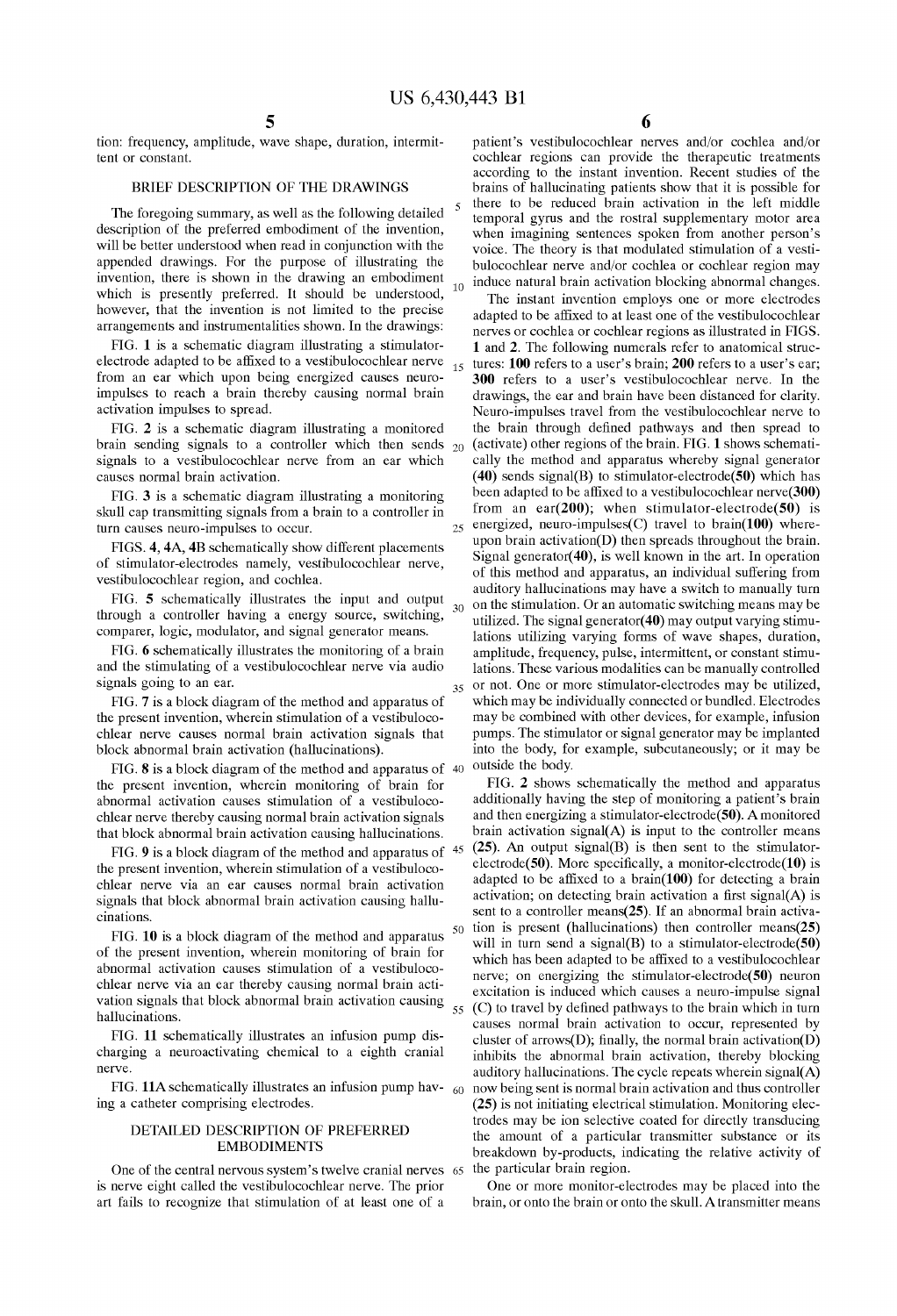25

 $30$ 

35

tion: frequency, amplitude, wave shape, duration, intermit tent or constant.

### BRIEF DESCRIPTION OF THE DRAWINGS

The foregoing summary, as well as the following detailed description of the preferred embodiment of the invention, will be better understood when read in conjunction with the appended drawings. For the purpose of illustrating the invention, there is shown in the drawing an embodiment which is presently preferred. It should be understood, however, that the invention is not limited to the precise arrangements and instrumentalities shown. In the drawings:

FIG. 1 is a schematic diagram illustrating a stimulatorelectrode adapted to be affixed to a vestibulocochlear nerve from an ear which upon being energized causes neuro impulses to reach a brain thereby causing normal brain activation impulses to spread.

FIG. 2 is a schematic diagram illustrating a monitored brain sending signals to a controller which then sends  $_{20}$ Signals to a vestibulocochlear nerve from an ear which causes normal brain activation.

FIG. 3 is a Schematic diagram illustrating a monitoring skull cap transmitting signals from a brain to a controller in turn causes neuro-impulses to occur.

FIGS. 4, 4A, 4B schematically show different placements of Stimulator-electrodes namely, vestibulocochlear nerve,

vestibulocochlear region, and cochlea.<br>FIG. 5 schematically illustrates the input and output through a controller having a energy source, switching, comparer, logic, modulator, and signal generator means

FIG. 6 schematically illustrates the monitoring of a brain and the Stimulating of a vestibulocochlear nerve via audio signals going to an ear.

FIG. 7 is a block diagram of the method and apparatus of the present invention, wherein stimulation of a vestibulocochlear nerve causes normal brain activation signals that block abnormal brain activation (hallucinations).

FIG. 8 is a block diagram of the method and apparatus of  $\frac{40}{100}$  outside the body. the present invention, wherein monitoring of brain for abnormal activation causes stimulation of a vestibulocochlear nerve thereby causing normal brain activation signals that block abnormal brain activation causing hallucinations. that block abnormal brain activation causing hallucinations.

the present invention, wherein stimulation of a vestibulocochlear nerve via an ear causes normal brain activation signals that block abnormal brain activation causing hallucinations.

FIG. 10 is a block diagram of the method and apparatus of the present invention, wherein monitoring of brain for abnormal activation causes Stimulation of a vestibuloco chlear nerve via an ear thereby causing normal brain acti Vation signals that block abnormal brain activation causing hallucinations. 55

FIG. 11 schematically illustrates an infusion pump dis charging a neuroactivating chemical to a eighth cranial nerve.

FIG. 11A schematically illustrates an infusion pump hav-  $_{60}$ ing a catheter comprising electrodes.

### DETAILED DESCRIPTION OF PREFERRED EMBODIMENTS

One of the central nervous System's twelve cranial nerves 65 the particular brain region. is nerve eight called the vestibulocochlear nerve. The prior art fails to recognize that Stimulation of at least one of a

6

patient's vestibulocochlear nerves and/or cochlea and/or cochlear regions can provide the therapeutic treatments according to the instant invention. Recent Studies of the brains of hallucinating patients show that it is possible for there to be reduced brain activation in the left middle temporal gyrus and the rostral Supplementary motor area when imagining sentences spoken from another person's voice. The theory is that modulated stimulation of a vestibulocochlear nerve and/or cochlea or cochlear region may  $_{10}$  induce natural brain activation blocking abnormal changes.

The instant invention employs one or more electrodes adapted to be affixed to at least one of the vestibulocochlear nerves or cochlea or cochlear regions as illustrated in FIGS. 1 and 2. The following numerals refer to anatomical structures: 100 refers to a user's brain; 200 refers to a user's ear; 300 refers to a user's vestibulocochlear nerve. In the drawings, the ear and brain have been distanced for clarity. Neuro-impulses travel from the vestibulocochlear nerve to the brain through defined pathways and then Spread to (activate) other regions of the brain. FIG. 1 shows schemati cally the method and apparatus whereby signal generator  $(40)$  sends signal $(B)$  to stimulator-electrode $(50)$  which has been adapted to be affixed to a vestibulocochlear nerve(300) from an ear(200); when stimulator-electrode(50) is energized, neuro-impulses(C) travel to brain(100) whereupon brain activation(D) then spreads throughout the brain. Signal generator(40), is well known in the art. In operation of this method and apparatus, an individual Suffering from auditory hallucinations may have a Switch to manually turn on the Stimulation. Or an automatic Switching means may be utilized. The signal generator(40) may output varying stimulations utilizing varying forms of wave shapes, duration, amplitude, frequency, pulse, intermittent, or constant stimu lations. These various modalities can be manually controlled or not. One or more Stimulator-electrodes may be utilized, which may be individually connected or bundled. Electrodes may be combined with other devices, for example, infusion pumps. The stimulator or signal generator may be implanted into the body, for example, subcutaneously; or it may be

FIG. 9 is a block diagram of the method and apparatus of  $45 \text{ (25)}$ . An output signal(B) is then sent to the stimulator-50 FIG. 2 shows schematically the method and apparatus additionally having the step of monitoring a patient's brain and then energizing a stimulator-electrode(50). A monitored brain activation signal $(A)$  is input to the controller means electrode(50). More specifically, a monitor-electrode(10) is adapted to be affixed to a brain(100) for detecting a brain activation; on detecting brain activation a first signal(A) is sent to a controller means( $25$ ). If an abnormal brain activation is present (hallucinations) then controller means( $25$ ) will in turn send a signal(B) to a stimulator-electrode(50) which has been adapted to be affixed to a vestibulocochlear nerve; on energizing the stimulator-electrode(50) neuron excitation is induced which causes a neuro-impulse signal (C) to travel by defined pathways to the brain which in turn causes normal brain activation to occur, represented by cluster of arrows(D); finally, the normal brain activation(D) inhibits the abnormal brain activation, thereby blocking auditory hallucinations. The cycle repeats wherein signal(A) now being sent is normal brain activation and thus controller (25) is not initiating electrical Stimulation. Monitoring elec trodes may be ion Selective coated for directly transducing the amount of a particular transmitter substance or its breakdown by-products, indicating the relative activity of

> One or more monitor-electrodes may be placed into the brain, or onto the brain or onto the skull. A transmitter means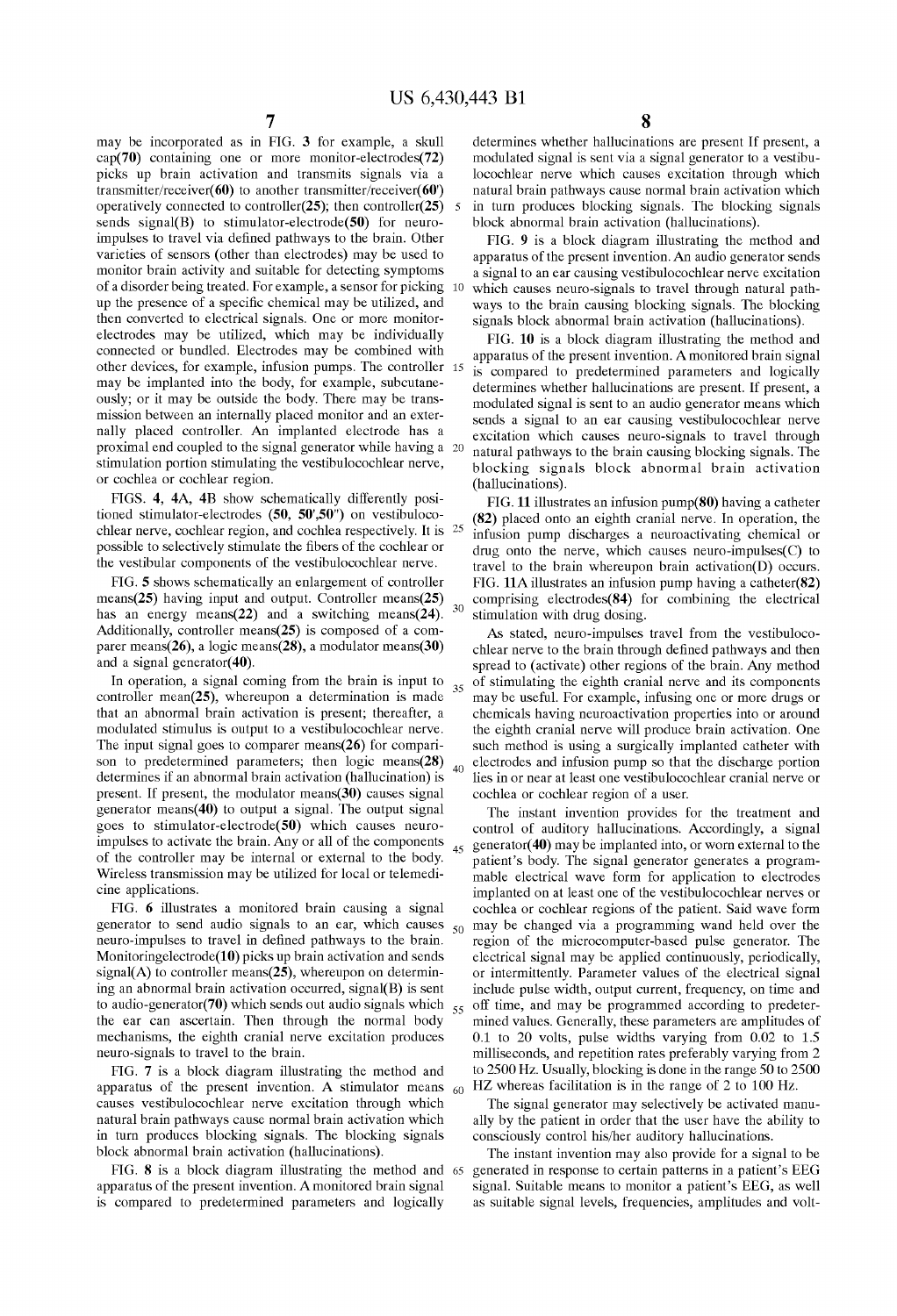$30$ 

60

may be incorporated as in FIG. 3 for example, a skull cap(70) containing one or more monitor-electrodes(72) picks up brain activation and transmits signals via a transmitter/receiver( $60$ ) to another transmitter/receiver( $60$ ) operatively connected to controller(25); then controller(25) sends signal(B) to stimulator-electrode $(50)$  for neuroimpulses to travel via defined pathways to the brain. Other varieties of sensors (other than electrodes) may be used to monitor brain activity and suitable for detecting symptoms of a disorder being treated. For example, a sensor for picking 10 up the presence of a Specific chemical may be utilized, and then converted to electrical signals. One or more monitorelectrodes may be utilized, which may be individually connected or bundled. Electrodes may be combined with other devices, for example, infusion pumps. The controller 15 may be implanted into the body, for example, subcutaneously; or it may be outside the body. There may be trans mission between an internally placed monitor and an exter nally placed controller. An implanted electrode has a proximal end coupled to the signal generator while having a 20 stimulation portion stimulating the vestibulocochlear nerve, or cochlea or cochlear region.

FIGS. 4, 4A, 4B show schematically differently posi tioned stimulator-electrodes (50, 50',50") on vestibuloco chlear nerve, cochlear region, and cochlea respectively. It is 25 possible to selectively stimulate the fibers of the cochlear or the vestibular components of the vestibulocochlear nerve.

FIG. 5 shows schematically an enlargement of controller means( $25$ ) having input and output. Controller means( $25$ ) has an energy means( $22$ ) and a switching means( $24$ ). Additionally, controller means( $25$ ) is composed of a comparer means(26), a logic means(28), a modulator means(30) and a signal generator(40).

In operation, a signal coming from the brain is input to controller mean(25), whereupon a determination is made that an abnormal brain activation is present; thereafter, a modulated Stimulus is output to a vestibulocochlear nerve. The input signal goes to comparer means(26) for comparison to predetermined parameters; then  $logic$  means $(28)$ determines if an abnormal brain activation (hallucination) is present. If present, the modulator means(30) causes signal generator means(40) to output a signal. The output signal goes to stimulator-electrode(50) which causes neuro impulses to activate the brain. Any or all of the components of the controller may be internal or external to the body. Wireless transmission may be utilized for local or telemedi cine applications.

FIG. 6 illustrates a monitored brain causing a signal generator to Send audio signals to an ear, which causes neuro-impulses to travel in defined pathways to the brain. Monitoringelectrode(10) picks up brain activation and sends  $signal(A)$  to controller means(25), whereupon on determining an abnormal brain activation occurred, signal(B) is sent the ear can ascertain. Then through the normal body mechanisms, the eighth cranial nerve excitation produces neuro-signals to travel to the brain.  $50$ 

FIG. 7 is a block diagram illustrating the method and apparatus of the present invention. A Stimulator means causes vestibulocochlear nerve excitation through which natural brain pathways cause normal brain activation which in turn produces blocking signals. The blocking signals block abnormal brain activation (hallucinations).

FIG. 8 is a block diagram illustrating the method and 65 apparatus of the present invention. A monitored brain Signal is compared to predetermined parameters and logically

8

determines whether hallucinations are present If present, a modulated signal is sent via a signal generator to a vestibulocochlear nerve which causes excitation through which natural brain pathways cause normal brain activation which in turn produces blocking signals. The blocking signals block abnormal brain activation (hallucinations).

FIG. 9 is a block diagram illustrating the method and apparatus of the present invention. An audio generator sends a signal to an ear causing vestibulocochlear nerve excitation which causes neuro-signals to travel through natural path ways to the brain causing blocking signals. The blocking signals block abnormal brain activation (hallucinations).

FIG. 10 is a block diagram illustrating the method and apparatus of the present invention. A monitored brain signal is compared to predetermined parameters and logically determines whether hallucinations are present. If present, a modulated signal is sent to an audio generator means which sends a signal to an ear causing vestibulocochlear nerve excitation which causes neuro-signals to travel through natural pathways to the brain causing blocking signals. The blocking Signals block abnormal brain activation (hallucinations).

FIG. 11 illustrates an infusion pump(80) having a catheter (82) placed onto an eighth cranial nerve. In operation, the infusion pump discharges a neuroactivating chemical or drug onto the nerve, which causes neuro-impulses(C) to travel to the brain whereupon brain activation(D) occurs.<br>FIG.  $11A$  illustrates an infusion pump having a catheter(82) comprising electrodes $(84)$  for combining the electrical stimulation with drug dosing.

40 AS Stated, neuro-impulses travel from the vestibuloco chlear nerve to the brain through defined pathways and then spread to (activate) other regions of the brain. Any method of Stimulating the eighth cranial nerve and its components may be useful. For example, infusing one or more drugs or chemicals having neuroactivation properties into or around the eighth cranial nerve will produce brain activation. One such method is using a surgically implanted catheter with electrodes and infusion pump so that the discharge portion lies in or near at least one vestibulocochlear cranial nerve or cochlea or cochlear region of a user.

to audio-generator(70) which sends out audio signals which  $_{55}$  off time, and may be programmed according to predeter- $_{45}$  generator(40) may be implanted into, or worn external to the The instant invention provides for the treatment and control of auditory hallucinations. Accordingly, a signal patient's body. The signal generator generates a programmable electrical wave form for application to electrodes implanted on at least one of the vestibulocochlear nerves or cochlea or cochlear regions of the patient. Said wave form may be changed via a programming wand held over the region of the microcomputer-based pulse generator. The electrical signal may be applied continuously, periodically, or intermittently. Parameter values of the electrical signal include pulse width, output current, frequency, on time and mined values. Generally, these parameters are amplitudes of 0.1 to 20 volts, pulse widths varying from 0.02 to 1.5 milliseconds, and repetition rates preferably varying from 2 to 2500 Hz. Usually, blocking is done in the range 50 to 2500 HZ whereas facilitation is in the range of 2 to 100 Hz.

> The signal generator may selectively be activated manually by the patient in order that the user have the ability to consciously control his/her auditory hallucinations.

The instant invention may also provide for a signal to be generated in response to certain patterns in a patient's EEG signal. Suitable means to monitor a patient's EEG, as well as suitable signal levels, frequencies, amplitudes and volt-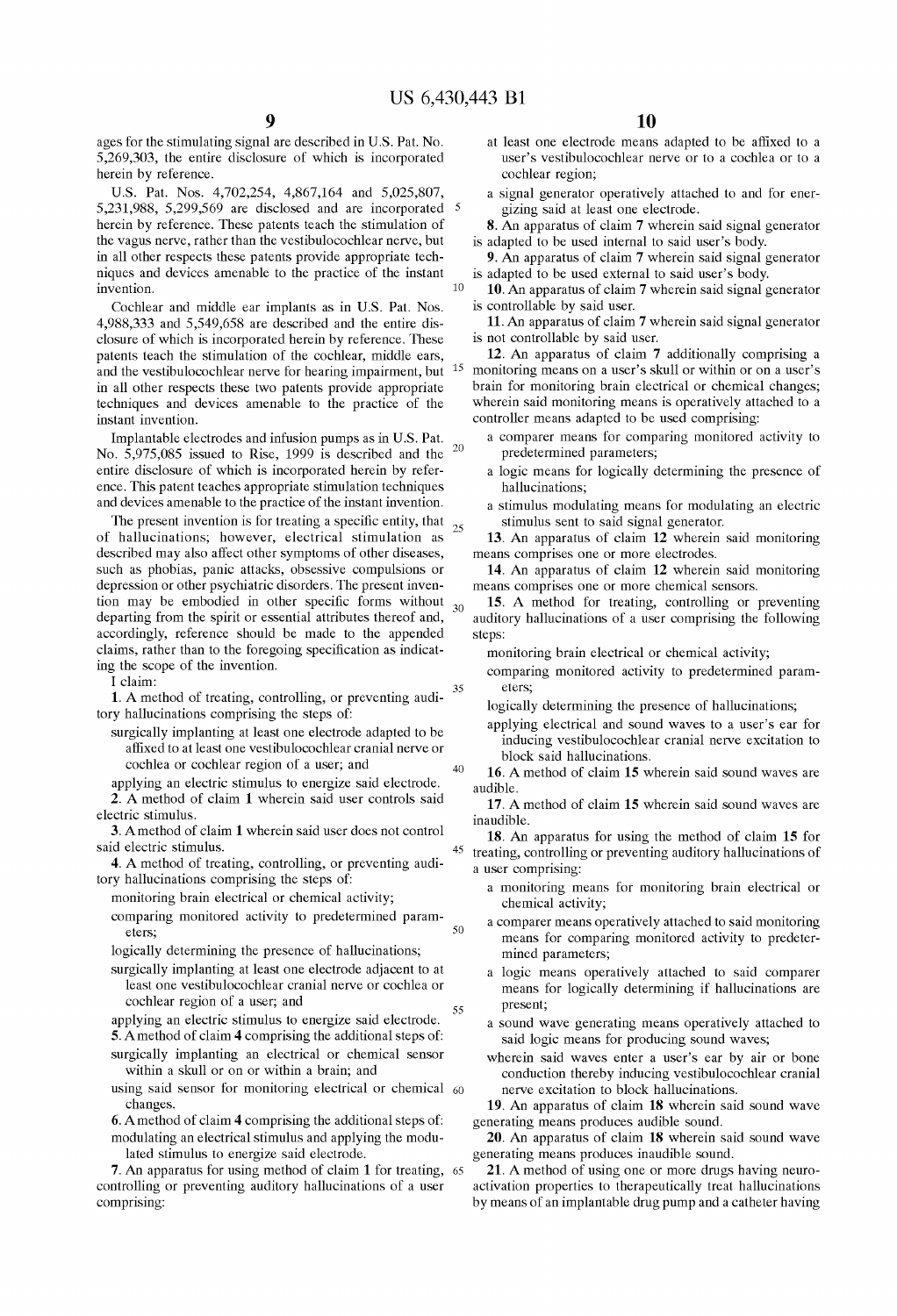15

20

 $25$ 

 $30$ 

 $40$ 

45

 $50$ 

55

ages for the stimulating signal are described in U.S. Pat. No. 5,269,303, the entire disclosure of which is incorporated herein by reference.

U.S. Pat. Nos. 4,702,254, 4,867,164 and 5,025,807, 5,231,988, 5,299,569 are disclosed and are incorporated 5 herein by reference. These patents teach the stimulation of the vagus nerve, rather than the vestibulocochlear nerve, but in all other respects these patents provide appropriate techniques and devices amenable to the practice of the instant invention.

Cochlear and middle ear implants as in U.S. Pat. Nos. 4,988,333 and 5,549,658 are described and the entire disclosure of which is incorporated herein by reference. These patents teach the stimulation of the cochlear, middle ears, and the vestibulocochlear nerve for hearing impairment, but in all other respects these two patents provide appropriate techniques and devices amenable to the practice of the instant invention.

Implantable electrodes and infusion pumps as in U.S. Pat. No. 5,975,085 issued to Rise, 1999 is described and the entire disclosure of which is incorporated herein by reference. This patent teaches appropriate stimulation techniques and devices amenable to the practice of the instant invention.

The present invention is for treating a specific entity, that of hallucinations; however, electrical stimulation as described may also affect other symptoms of other diseases, such as phobias, panic attacks, obsessive compulsions or depression or other psychiatric disorders. The present invention may be embodied in other specific forms without departing from the spirit or essential attributes thereof and, accordingly, reference should be made to the appended claims, rather than to the foregoing specification as indicating the scope of the invention.

I claim:

1. A method of treating, controlling, or preventing auditory hallucinations comprising the steps of:

surgically implanting at least one electrode adapted to be affixed to at least one vestibulocochlear cranial nerve or cochlea or cochlear region of a user; and

applying an electric stimulus to energize said electrode. 2. A method of claim 1 wherein said user controls said electric stimulus.

3. A method of claim 1 wherein said user does not control said electric stimulus.

4. A method of treating, controlling, or preventing auditory hallucinations comprising the steps of:

monitoring brain electrical or chemical activity;

comparing monitored activity to predetermined parameters:

logically determining the presence of hallucinations;

- surgically implanting at least one electrode adjacent to at least one vestibulocochlear cranial nerve or cochlea or cochlear region of a user; and
- applying an electric stimulus to energize said electrode. 5. A method of claim 4 comprising the additional steps of:
- surgically implanting an electrical or chemical sensor within a skull or on or within a brain; and
- using said sensor for monitoring electrical or chemical 60 changes.
- 6. A method of claim 4 comprising the additional steps of: modulating an electrical stimulus and applying the modulated stimulus to energize said electrode.

7. An apparatus for using method of claim 1 for treating, 65 controlling or preventing auditory hallucinations of a user comprising:

- at least one electrode means adapted to be affixed to a user's vestibulocochlear nerve or to a cochlea or to a cochlear region;
- a signal generator operatively attached to and for energizing said at least one electrode.
- 8. An apparatus of claim 7 wherein said signal generator is adapted to be used internal to said user's body.
- 9. An apparatus of claim 7 wherein said signal generator is adapted to be used external to said user's body.

10. An apparatus of claim 7 wherein said signal generator is controllable by said user.

11. An apparatus of claim 7 wherein said signal generator is not controllable by said user.

12. An apparatus of claim 7 additionally comprising a monitoring means on a user's skull or within or on a user's brain for monitoring brain electrical or chemical changes; wherein said monitoring means is operatively attached to a controller means adapted to be used comprising:

- a comparer means for comparing monitored activity to predetermined parameters;
- a logic means for logically determining the presence of hallucinations;
- a stimulus modulating means for modulating an electric stimulus sent to said signal generator.

13. An apparatus of claim 12 wherein said monitoring means comprises one or more electrodes.

14. An apparatus of claim 12 wherein said monitoring means comprises one or more chemical sensors.

15. A method for treating, controlling or preventing auditory hallucinations of a user comprising the following steps:

monitoring brain electrical or chemical activity;

comparing monitored activity to predetermined parameters:

logically determining the presence of hallucinations;

- applying electrical and sound waves to a user's ear for inducing vestibulocochlear cranial nerve excitation to block said hallucinations.
- 16. A method of claim 15 wherein said sound waves are audible.

17. A method of claim 15 wherein said sound waves are inaudible.

18. An apparatus for using the method of claim 15 for treating, controlling or preventing auditory hallucinations of a user comprising:

- a monitoring means for monitoring brain electrical or chemical activity;
- a comparer means operatively attached to said monitoring means for comparing monitored activity to predetermined parameters;
- a logic means operatively attached to said comparer means for logically determining if hallucinations are present:
- a sound wave generating means operatively attached to said logic means for producing sound waves;
- wherein said waves enter a user's ear by air or bone conduction thereby inducing vestibulocochlear cranial nerve excitation to block hallucinations.

19. An apparatus of claim 18 wherein said sound wave generating means produces audible sound.

20. An apparatus of claim 18 wherein said sound wave generating means produces inaudible sound.

21. A method of using one or more drugs having neuroactivation properties to therapeutically treat hallucinations by means of an implantable drug pump and a catheter having